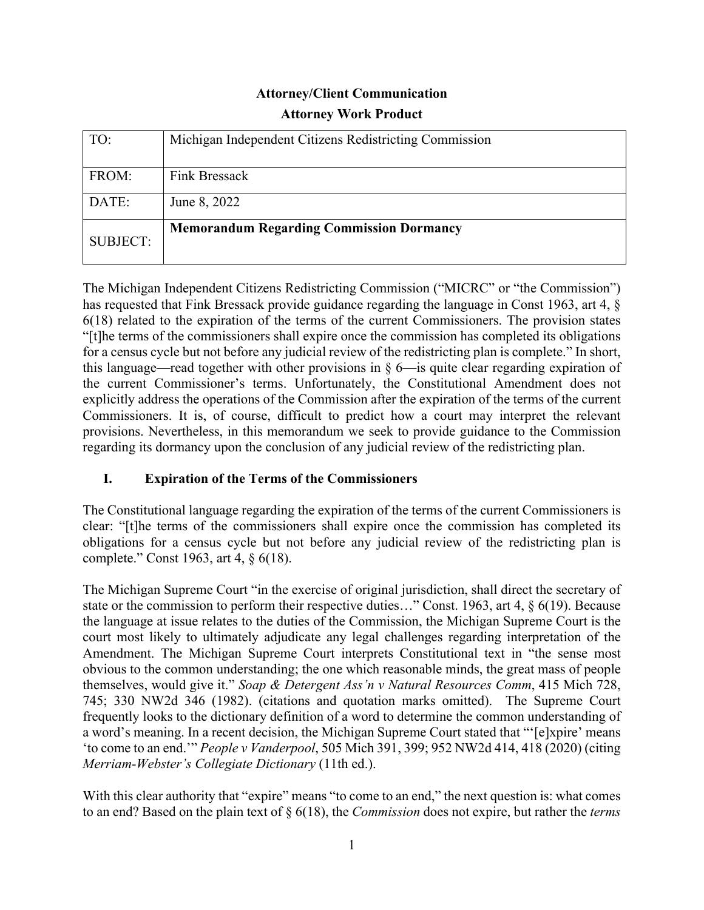# **Attorney/Client Communication Attorney Work Product**

| TO:             | Michigan Independent Citizens Redistricting Commission |
|-----------------|--------------------------------------------------------|
| FROM:           | Fink Bressack                                          |
| DATE:           | June 8, 2022                                           |
| <b>SUBJECT:</b> | <b>Memorandum Regarding Commission Dormancy</b>        |

The Michigan Independent Citizens Redistricting Commission ("MICRC" or "the Commission") has requested that Fink Bressack provide guidance regarding the language in Const 1963, art 4, § 6(18) related to the expiration of the terms of the current Commissioners. The provision states "[t]he terms of the commissioners shall expire once the commission has completed its obligations for a census cycle but not before any judicial review of the redistricting plan is complete." In short, this language—read together with other provisions in § 6—is quite clear regarding expiration of the current Commissioner's terms. Unfortunately, the Constitutional Amendment does not explicitly address the operations of the Commission after the expiration of the terms of the current Commissioners. It is, of course, difficult to predict how a court may interpret the relevant provisions. Nevertheless, in this memorandum we seek to provide guidance to the Commission regarding its dormancy upon the conclusion of any judicial review of the redistricting plan.

# **I. Expiration of the Terms of the Commissioners**

The Constitutional language regarding the expiration of the terms of the current Commissioners is clear: "[t]he terms of the commissioners shall expire once the commission has completed its obligations for a census cycle but not before any judicial review of the redistricting plan is complete." Const 1963, art 4, § 6(18).

The Michigan Supreme Court "in the exercise of original jurisdiction, shall direct the secretary of state or the commission to perform their respective duties…" Const. 1963, art 4, § 6(19). Because the language at issue relates to the duties of the Commission, the Michigan Supreme Court is the court most likely to ultimately adjudicate any legal challenges regarding interpretation of the Amendment. The Michigan Supreme Court interprets Constitutional text in "the sense most obvious to the common understanding; the one which reasonable minds, the great mass of people themselves, would give it." *Soap & Detergent Ass'n v Natural Resources Comm*, 415 Mich 728, 745; 330 NW2d 346 (1982). (citations and quotation marks omitted). The Supreme Court frequently looks to the dictionary definition of a word to determine the common understanding of a word's meaning. In a recent decision, the Michigan Supreme Court stated that "'[e]xpire' means 'to come to an end.'" *People v Vanderpool*, 505 Mich 391, 399; 952 NW2d 414, 418 (2020) (citing *Merriam-Webster's Collegiate Dictionary* (11th ed.).

With this clear authority that "expire" means "to come to an end," the next question is: what comes to an end? Based on the plain text of § 6(18), the *Commission* does not expire, but rather the *terms*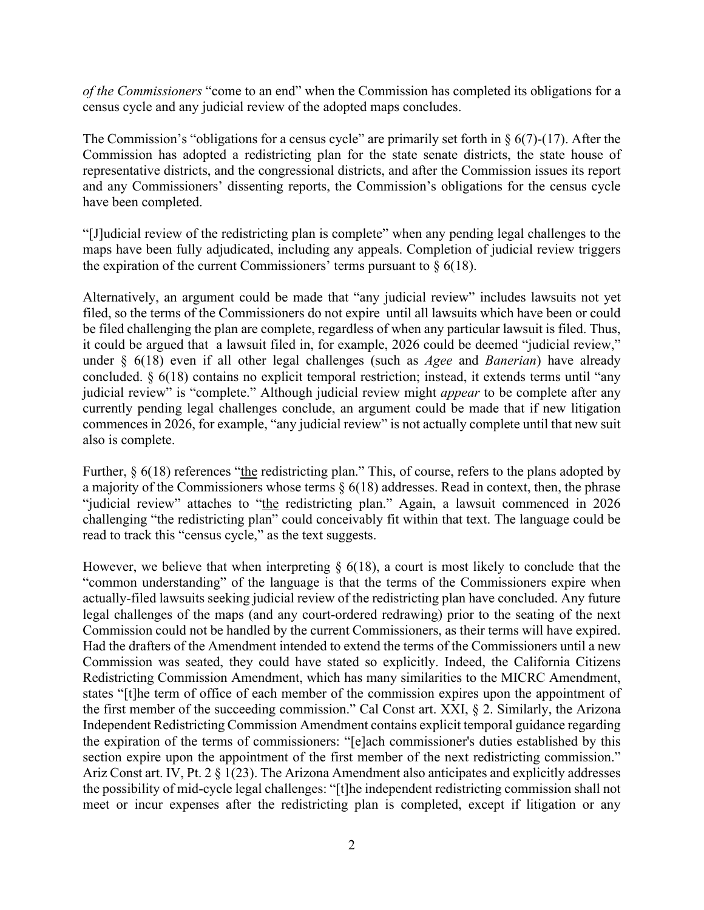*of the Commissioners* "come to an end" when the Commission has completed its obligations for a census cycle and any judicial review of the adopted maps concludes.

The Commission's "obligations for a census cycle" are primarily set forth in  $\S$  6(7)-(17). After the Commission has adopted a redistricting plan for the state senate districts, the state house of representative districts, and the congressional districts, and after the Commission issues its report and any Commissioners' dissenting reports, the Commission's obligations for the census cycle have been completed.

"[J]udicial review of the redistricting plan is complete" when any pending legal challenges to the maps have been fully adjudicated, including any appeals. Completion of judicial review triggers the expiration of the current Commissioners' terms pursuant to  $\S$  6(18).

Alternatively, an argument could be made that "any judicial review" includes lawsuits not yet filed, so the terms of the Commissioners do not expire until all lawsuits which have been or could be filed challenging the plan are complete, regardless of when any particular lawsuit is filed. Thus, it could be argued that a lawsuit filed in, for example, 2026 could be deemed "judicial review," under § 6(18) even if all other legal challenges (such as *Agee* and *Banerian*) have already concluded. § 6(18) contains no explicit temporal restriction; instead, it extends terms until "any judicial review" is "complete." Although judicial review might *appear* to be complete after any currently pending legal challenges conclude, an argument could be made that if new litigation commences in 2026, for example, "any judicial review" is not actually complete until that new suit also is complete.

Further,  $\S$  6(18) references "the redistricting plan." This, of course, refers to the plans adopted by a majority of the Commissioners whose terms  $\S 6(18)$  addresses. Read in context, then, the phrase "judicial review" attaches to "the redistricting plan." Again, a lawsuit commenced in 2026 challenging "the redistricting plan" could conceivably fit within that text. The language could be read to track this "census cycle," as the text suggests.

However, we believe that when interpreting  $\S$  6(18), a court is most likely to conclude that the "common understanding" of the language is that the terms of the Commissioners expire when actually-filed lawsuits seeking judicial review of the redistricting plan have concluded. Any future legal challenges of the maps (and any court-ordered redrawing) prior to the seating of the next Commission could not be handled by the current Commissioners, as their terms will have expired. Had the drafters of the Amendment intended to extend the terms of the Commissioners until a new Commission was seated, they could have stated so explicitly. Indeed, the California Citizens Redistricting Commission Amendment, which has many similarities to the MICRC Amendment, states "[t]he term of office of each member of the commission expires upon the appointment of the first member of the succeeding commission." Cal Const art. XXI, § 2. Similarly, the Arizona Independent Redistricting Commission Amendment contains explicit temporal guidance regarding the expiration of the terms of commissioners: "[e]ach commissioner's duties established by this section expire upon the appointment of the first member of the next redistricting commission." Ariz Const art. IV, Pt. 2 § 1(23). The Arizona Amendment also anticipates and explicitly addresses the possibility of mid-cycle legal challenges: "[t]he independent redistricting commission shall not meet or incur expenses after the redistricting plan is completed, except if litigation or any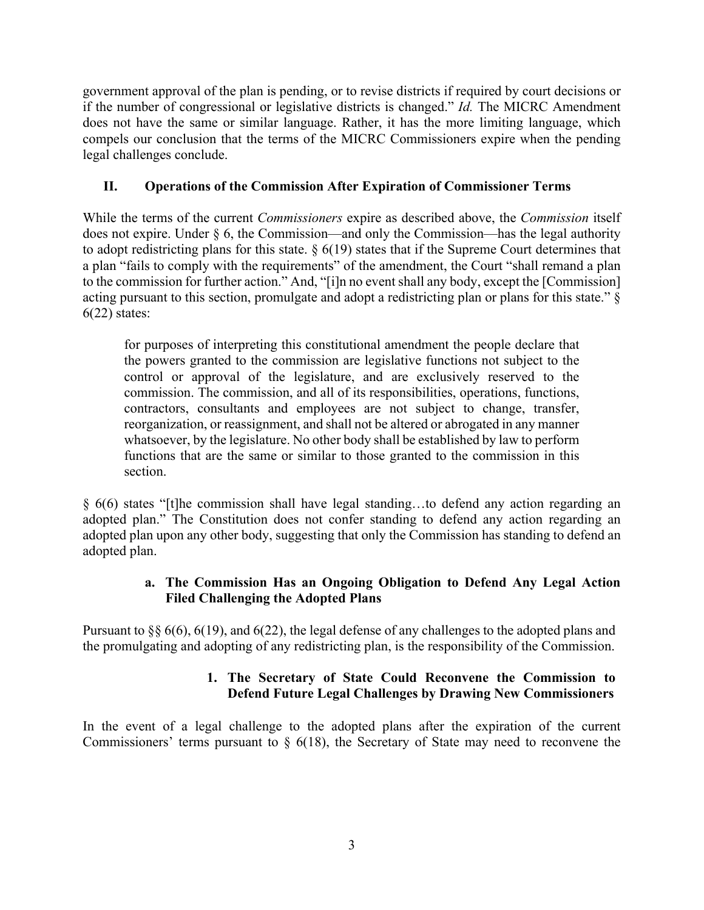government approval of the plan is pending, or to revise districts if required by court decisions or if the number of congressional or legislative districts is changed." *Id.* The MICRC Amendment does not have the same or similar language. Rather, it has the more limiting language, which compels our conclusion that the terms of the MICRC Commissioners expire when the pending legal challenges conclude.

## **II. Operations of the Commission After Expiration of Commissioner Terms**

While the terms of the current *Commissioners* expire as described above, the *Commission* itself does not expire. Under § 6, the Commission—and only the Commission—has the legal authority to adopt redistricting plans for this state.  $\S 6(19)$  states that if the Supreme Court determines that a plan "fails to comply with the requirements" of the amendment, the Court "shall remand a plan to the commission for further action." And, "[i]n no event shall any body, except the [Commission] acting pursuant to this section, promulgate and adopt a redistricting plan or plans for this state." §  $6(22)$  states:

for purposes of interpreting this constitutional amendment the people declare that the powers granted to the commission are legislative functions not subject to the control or approval of the legislature, and are exclusively reserved to the commission. The commission, and all of its responsibilities, operations, functions, contractors, consultants and employees are not subject to change, transfer, reorganization, or reassignment, and shall not be altered or abrogated in any manner whatsoever, by the legislature. No other body shall be established by law to perform functions that are the same or similar to those granted to the commission in this section.

§ 6(6) states "[t]he commission shall have legal standing…to defend any action regarding an adopted plan." The Constitution does not confer standing to defend any action regarding an adopted plan upon any other body, suggesting that only the Commission has standing to defend an adopted plan.

## **a. The Commission Has an Ongoing Obligation to Defend Any Legal Action Filed Challenging the Adopted Plans**

Pursuant to §§ 6(6), 6(19), and 6(22), the legal defense of any challenges to the adopted plans and the promulgating and adopting of any redistricting plan, is the responsibility of the Commission.

## **1. The Secretary of State Could Reconvene the Commission to Defend Future Legal Challenges by Drawing New Commissioners**

In the event of a legal challenge to the adopted plans after the expiration of the current Commissioners' terms pursuant to  $\S$  6(18), the Secretary of State may need to reconvene the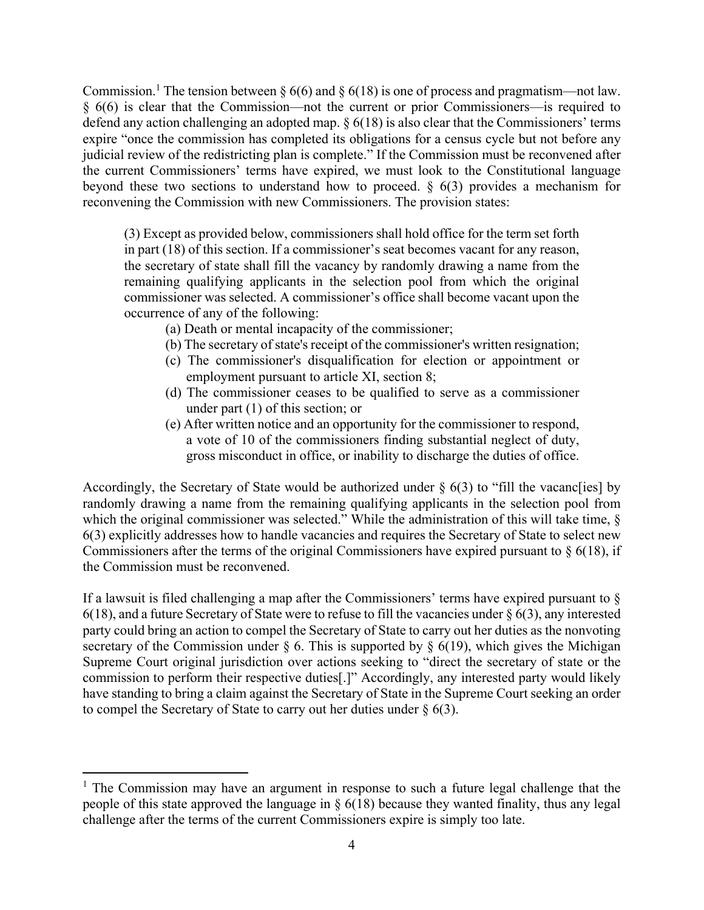Commission.<sup>1</sup> The tension between § 6(6) and § 6(18) is one of process and pragmatism—not law. § 6(6) is clear that the Commission—not the current or prior Commissioners—is required to defend any action challenging an adopted map. § 6(18) is also clear that the Commissioners' terms expire "once the commission has completed its obligations for a census cycle but not before any judicial review of the redistricting plan is complete." If the Commission must be reconvened after the current Commissioners' terms have expired, we must look to the Constitutional language beyond these two sections to understand how to proceed. § 6(3) provides a mechanism for reconvening the Commission with new Commissioners. The provision states:

(3) Except as provided below, commissioners shall hold office for the term set forth in part (18) of this section. If a commissioner's seat becomes vacant for any reason, the secretary of state shall fill the vacancy by randomly drawing a name from the remaining qualifying applicants in the selection pool from which the original commissioner was selected. A commissioner's office shall become vacant upon the occurrence of any of the following:

- (a) Death or mental incapacity of the commissioner;
- (b) The secretary of state's receipt of the commissioner's written resignation;
- (c) The commissioner's disqualification for election or appointment or employment pursuant to article XI, section 8;
- (d) The commissioner ceases to be qualified to serve as a commissioner under part (1) of this section; or
- (e) After written notice and an opportunity for the commissioner to respond, a vote of 10 of the commissioners finding substantial neglect of duty, gross misconduct in office, or inability to discharge the duties of office.

Accordingly, the Secretary of State would be authorized under  $\S$  6(3) to "fill the vacance ies] by randomly drawing a name from the remaining qualifying applicants in the selection pool from which the original commissioner was selected." While the administration of this will take time, § 6(3) explicitly addresses how to handle vacancies and requires the Secretary of State to select new Commissioners after the terms of the original Commissioners have expired pursuant to  $\S$  6(18), if the Commission must be reconvened.

If a lawsuit is filed challenging a map after the Commissioners' terms have expired pursuant to §  $6(18)$ , and a future Secretary of State were to refuse to fill the vacancies under §  $6(3)$ , any interested party could bring an action to compel the Secretary of State to carry out her duties as the nonvoting secretary of the Commission under  $\S$  6. This is supported by  $\S$  6(19), which gives the Michigan Supreme Court original jurisdiction over actions seeking to "direct the secretary of state or the commission to perform their respective duties[.]" Accordingly, any interested party would likely have standing to bring a claim against the Secretary of State in the Supreme Court seeking an order to compel the Secretary of State to carry out her duties under  $\S$  6(3).

<sup>&</sup>lt;sup>1</sup> The Commission may have an argument in response to such a future legal challenge that the people of this state approved the language in  $\S$  6(18) because they wanted finality, thus any legal challenge after the terms of the current Commissioners expire is simply too late.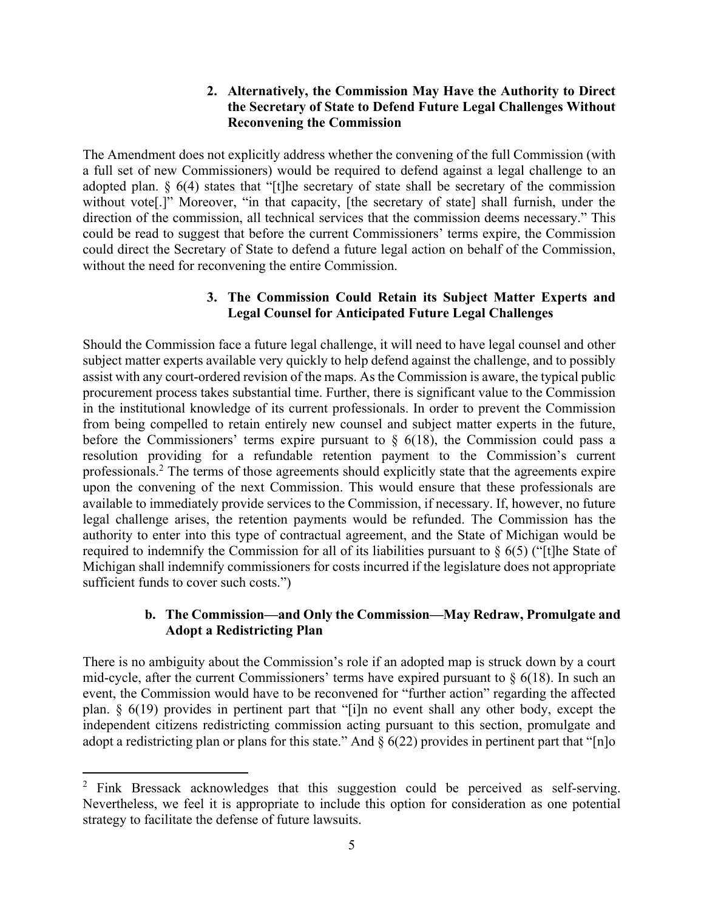#### **2. Alternatively, the Commission May Have the Authority to Direct the Secretary of State to Defend Future Legal Challenges Without Reconvening the Commission**

The Amendment does not explicitly address whether the convening of the full Commission (with a full set of new Commissioners) would be required to defend against a legal challenge to an adopted plan. § 6(4) states that "[t]he secretary of state shall be secretary of the commission without vote<sup>[1]</sup>" Moreover, "in that capacity, [the secretary of state] shall furnish, under the direction of the commission, all technical services that the commission deems necessary." This could be read to suggest that before the current Commissioners' terms expire, the Commission could direct the Secretary of State to defend a future legal action on behalf of the Commission, without the need for reconvening the entire Commission.

### **3. The Commission Could Retain its Subject Matter Experts and Legal Counsel for Anticipated Future Legal Challenges**

Should the Commission face a future legal challenge, it will need to have legal counsel and other subject matter experts available very quickly to help defend against the challenge, and to possibly assist with any court-ordered revision of the maps. As the Commission is aware, the typical public procurement process takes substantial time. Further, there is significant value to the Commission in the institutional knowledge of its current professionals. In order to prevent the Commission from being compelled to retain entirely new counsel and subject matter experts in the future, before the Commissioners' terms expire pursuant to  $\S$  6(18), the Commission could pass a resolution providing for a refundable retention payment to the Commission's current professionals.<sup>2</sup> The terms of those agreements should explicitly state that the agreements expire upon the convening of the next Commission. This would ensure that these professionals are available to immediately provide services to the Commission, if necessary. If, however, no future legal challenge arises, the retention payments would be refunded. The Commission has the authority to enter into this type of contractual agreement, and the State of Michigan would be required to indemnify the Commission for all of its liabilities pursuant to § 6(5) ("[t]he State of Michigan shall indemnify commissioners for costs incurred if the legislature does not appropriate sufficient funds to cover such costs.")

#### **b. The Commission—and Only the Commission—May Redraw, Promulgate and Adopt a Redistricting Plan**

There is no ambiguity about the Commission's role if an adopted map is struck down by a court mid-cycle, after the current Commissioners' terms have expired pursuant to  $\S$  6(18). In such an event, the Commission would have to be reconvened for "further action" regarding the affected plan. § 6(19) provides in pertinent part that "[i]n no event shall any other body, except the independent citizens redistricting commission acting pursuant to this section, promulgate and adopt a redistricting plan or plans for this state." And  $\S 6(22)$  provides in pertinent part that "[n]o

<sup>&</sup>lt;sup>2</sup> Fink Bressack acknowledges that this suggestion could be perceived as self-serving. Nevertheless, we feel it is appropriate to include this option for consideration as one potential strategy to facilitate the defense of future lawsuits.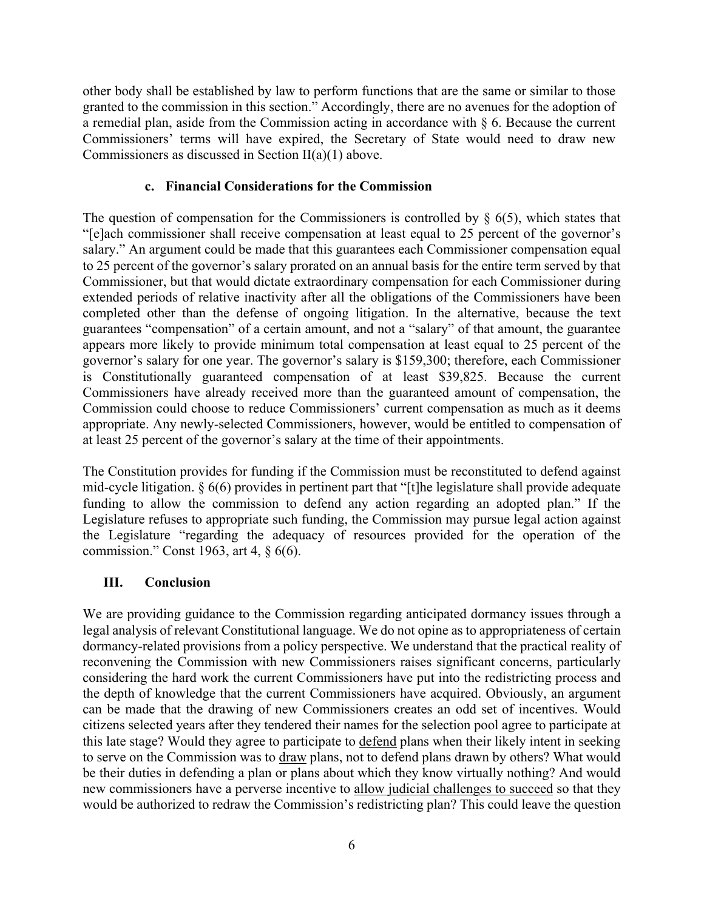other body shall be established by law to perform functions that are the same or similar to those granted to the commission in this section." Accordingly, there are no avenues for the adoption of a remedial plan, aside from the Commission acting in accordance with  $\S$  6. Because the current Commissioners' terms will have expired, the Secretary of State would need to draw new Commissioners as discussed in Section II(a)(1) above.

#### **c. Financial Considerations for the Commission**

The question of compensation for the Commissioners is controlled by  $\S$  6(5), which states that "[e]ach commissioner shall receive compensation at least equal to 25 percent of the governor's salary." An argument could be made that this guarantees each Commissioner compensation equal to 25 percent of the governor's salary prorated on an annual basis for the entire term served by that Commissioner, but that would dictate extraordinary compensation for each Commissioner during extended periods of relative inactivity after all the obligations of the Commissioners have been completed other than the defense of ongoing litigation. In the alternative, because the text guarantees "compensation" of a certain amount, and not a "salary" of that amount, the guarantee appears more likely to provide minimum total compensation at least equal to 25 percent of the governor's salary for one year. The governor's salary is \$159,300; therefore, each Commissioner is Constitutionally guaranteed compensation of at least \$39,825. Because the current Commissioners have already received more than the guaranteed amount of compensation, the Commission could choose to reduce Commissioners' current compensation as much as it deems appropriate. Any newly-selected Commissioners, however, would be entitled to compensation of at least 25 percent of the governor's salary at the time of their appointments.

The Constitution provides for funding if the Commission must be reconstituted to defend against mid-cycle litigation. § 6(6) provides in pertinent part that "[t]he legislature shall provide adequate funding to allow the commission to defend any action regarding an adopted plan." If the Legislature refuses to appropriate such funding, the Commission may pursue legal action against the Legislature "regarding the adequacy of resources provided for the operation of the commission." Const 1963, art 4, § 6(6).

#### **III. Conclusion**

We are providing guidance to the Commission regarding anticipated dormancy issues through a legal analysis of relevant Constitutional language. We do not opine as to appropriateness of certain dormancy-related provisions from a policy perspective. We understand that the practical reality of reconvening the Commission with new Commissioners raises significant concerns, particularly considering the hard work the current Commissioners have put into the redistricting process and the depth of knowledge that the current Commissioners have acquired. Obviously, an argument can be made that the drawing of new Commissioners creates an odd set of incentives. Would citizens selected years after they tendered their names for the selection pool agree to participate at this late stage? Would they agree to participate to defend plans when their likely intent in seeking to serve on the Commission was to draw plans, not to defend plans drawn by others? What would be their duties in defending a plan or plans about which they know virtually nothing? And would new commissioners have a perverse incentive to allow judicial challenges to succeed so that they would be authorized to redraw the Commission's redistricting plan? This could leave the question